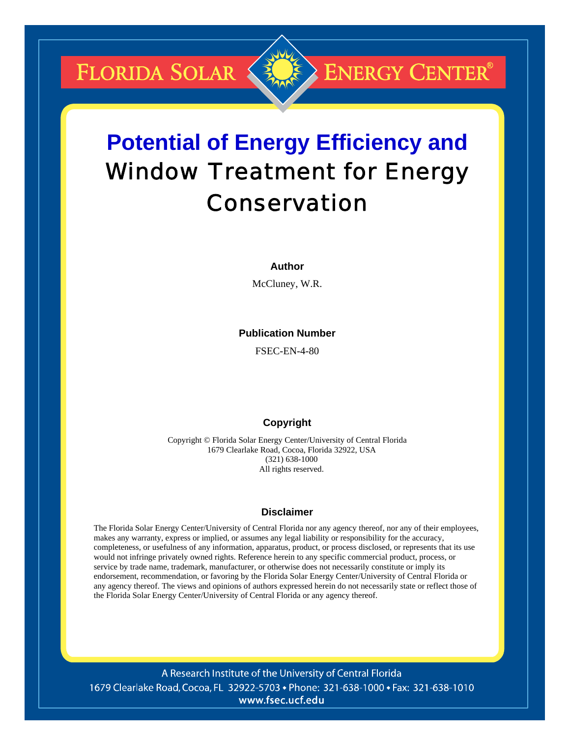**FLORIDA SOLAR &** 

## **ENERGY CENTER®**

# **Potential of Energy Efficiency and**  Window Treatment for Energy Conservation

#### **Author**

McCluney, W.R.

#### **Publication Number**

FSEC-EN-4-80

#### **Copyright**

Copyright © Florida Solar Energy Center/University of Central Florida 1679 Clearlake Road, Cocoa, Florida 32922, USA (321) 638-1000 All rights reserved.

#### **Disclaimer**

The Florida Solar Energy Center/University of Central Florida nor any agency thereof, nor any of their employees, makes any warranty, express or implied, or assumes any legal liability or responsibility for the accuracy, completeness, or usefulness of any information, apparatus, product, or process disclosed, or represents that its use would not infringe privately owned rights. Reference herein to any specific commercial product, process, or service by trade name, trademark, manufacturer, or otherwise does not necessarily constitute or imply its endorsement, recommendation, or favoring by the Florida Solar Energy Center/University of Central Florida or any agency thereof. The views and opinions of authors expressed herein do not necessarily state or reflect those of the Florida Solar Energy Center/University of Central Florida or any agency thereof.

A Research Institute of the University of Central Florida 1679 Clearlake Road, Cocoa, FL 32922-5703 • Phone: 321-638-1000 • Fax: 321-638-1010 www.fsec.ucf.edu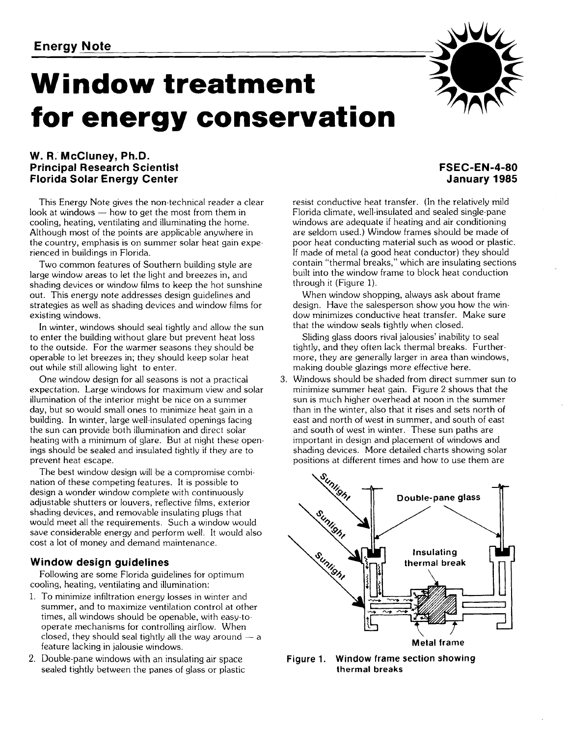# **Window treatment for energy conservation**

#### **W. R. McCluney, Ph.D. Principal Research Scientist Florida Solar Energy Center**

This Energy Note gives the non-technical reader a clear look at windows  $-$  how to get the most from them in cooling, heating, ventilating and illuminating the home. Although most of the points are applicable anywhere in the country, emphasis is on summer solar heat gain experienced in buildings in Florida.

Two common features of Southern building style are large window areas to let the light and breezes in, and shading devices or window films to keep the hot sunshine out. This energy note addresses design guidelines and strategies as well as shading devices and window films for existing windows.

In winter, windows should seal tightly and allow the sun to enter the building without glare but prevent heat loss to the outside. For the warmer seasons they should be operable to let breezes in; they should keep solar heat out while still allowing light to enter.

One window design for all seasons is not a practical expectation. Large windows for maximum view and solar illumination of the interior might be nice on a summer day, but so would small ones to minimize heat gain in a building. In winter, large well-insulated openings facing the sun can provide both illumination and direct solar heating with a minimum of glare. But at night these openings should be sealed and insulated tightly if they are to prevent heat escape.

The best window design will be a compromise combination of these competing features. It is possible to design a wonder window complete with continuously adjustable shutters or louvers, reflective films, exterior shading devices, and removable insulating plugs that would meet all the requirements. Such a window would save considerable energy and perform well. It would also cost a lot of money and demand maintenance.

### **Window design guidelines**

Following are some Florida guidelines for optimum cooling, heating, ventilating and illumination:

- 1. To minimize infiltration energy losses in winter and summer, and to maximize ventilation control at other times, all windows should be openable, with easy-tooperate mechanisms for controlling airflow. When closed, they should seal tightly all the way around  $-$  a feature lacking in jalousie windows.
- 2. Double-pane windows with an insulating air space sealed tightly between the panes of glass or plastic

#### **FSEC-EN-4-80 January 1985**

resist conductive heat transfer. (In the relatively mild Florida climate, well-insulated and sealed single-pane windows are adequate if heating and air conditioning are seldom used.) Window frames should be made of poor heat conducting material such as wood or plastic. If made of metal (a good heat conductor) they should contain "thermal breaks," which are insulating sections built into the window frame to block heat conduction through it (Figure 1).

When window shopping, always ask about frame design. Have the salesperson show you how the window minimizes conductive heat transfer. Make sure that the window seals tightly when closed.

Sliding glass doors rival jalousies' inability to seal tightly, and they often lack thermal breaks. Furthermore, they are generally larger in area than windows, making double glazings more effective here.

**3.** Windows should be shaded from direct summer sun to minimize summer heat gain. Figure 2 shows that the sun is much higher overhead at noon in the summer than in the winter, also that it rises and sets north of east and north of west in summer, and south of east and south of west in winter. These sun paths are important in design and placement of windows and shading devices. More detailed charts showing solar positions at different times and how to use them are



**Figure 1. Window frame section showing thermal breaks** 

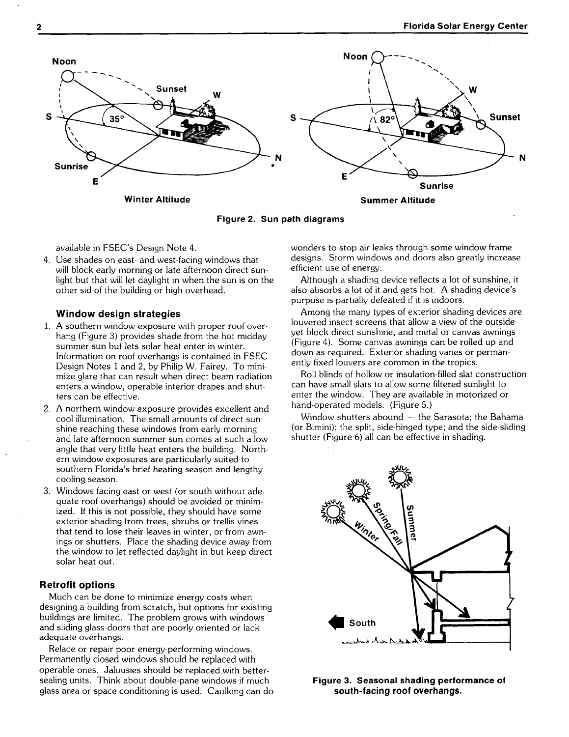

**Figure 2. Sun path diagrams** 

4. Use shades on east- and west-facing windows that designs. Storm windows and doors also greatly increased and doors also greatly increased with the state afternoon direct sunstantial efficient use of energy. will block early morning or late afternoon direct sun-<br>light but that will let daylight in when the sun is on the

#### **Window design strategies**

- 1. A southern window exposure with proper roof overhang (Figure 3) provides shade from the hot midday summer sun but lets solar heat enter in winter. Information on roof overhangs is contained in FSEC Design Notes 1 and 2, by Philip W. Fairey. To minimize glare that can result when direct beam radiation enters a window, operable interior drapes and shutters can be effective.
- 2. A northern window exposure provides excellent and cool illumination. The small amounts of direct sunshine reaching these windows from early morning and late afternoon summer sun comes at such a low angle that very little heat enters the building. Northern window exposures are particularly suited to southern Florida's brief heating season and lengthy cooling season.
- 3. Windows facing east or west (or south without adequate roof overhangs) should be avoided or minimized. If this is not possible, they should have some exterior shading from trees, shrubs or trellis vines that tend to lose their leaves in winter, or from awnings or shutters. Place the shading device away from the window to let reflected daylight in but keep direct solar heat out.

#### **Retrofit options**

Much can be done to minimize energy costs when designing a building from scratch, but options for existing buildings are limited. The problem grows with windows and sliding glass doors that are poorly oriented or lack adequate overhangs.

Relace or repair poor energy-performing windows. Permanently closed windows should be replaced with operable ones. Jalousies should be replaced with bettersealing units. Think about double-pane windows if much glass area or space conditioning is used. Caulking can do

available in FSEC's Design Note 4. wonders to stop air leaks through some window frame

Although a shading device reflects a lot of sunshine, it other sid of the building or high overhead. also absorbs a lot of it and gets hot. **A** shading device's purpose is partially defeated if it is indoors.

> Among the many types of exterior shading devices are louvered insect screens that allow a view of the outside yet block direct sunshine, and metal or canvas awnings (Figure 4). Some canvas awnings can be rolled up and down as required. Exterior shading vanes or permanently fixed louvers are common in the tropics.

Roll blinds of hollow or insulation-filled slat construction can have small slats to allow some filtered sunlight to enter the window. They are available in motorized or hand-operated models. (Figure 5.)

Window shutters abound - the Sarasota; the Bahama (or Bimini); the split, side-hinged type; and the side-sliding shutter (Figure 6) all can be effective in shading.



**Figure 3. Seasonal shading performance of south-facing roof overhangs.**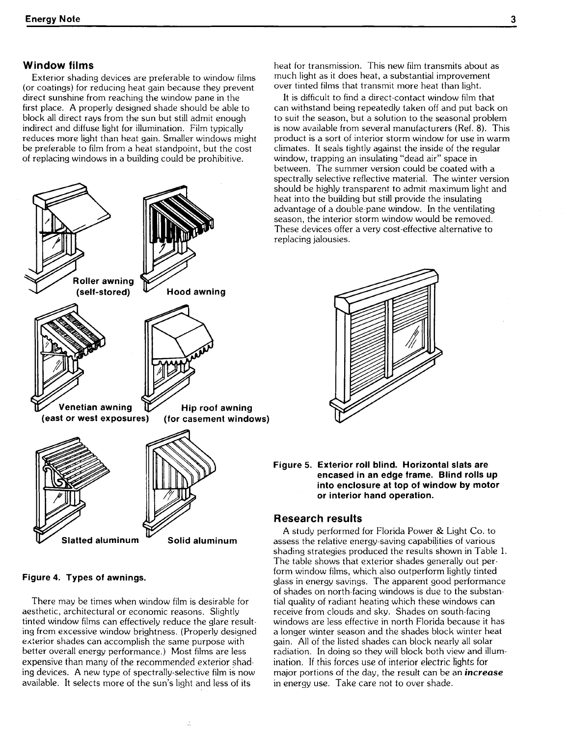#### **Window films**

Exterior shading devices are preferable to window films (or coatings) for reducing heat gain because they prevent direct sunshine from reaching the window pane in the first place. **A** properly designed shade should be able to block all direct rays from the sun but still admit enough indirect and diffuse light for illumination. Film typically reduces more light than heat gain. Smaller windows might be preferable to film from a heat standpoint, but the cost of replacing windows in a building could be prohibitive.



**Figure 4. Types of awnings.** 

There may be times when window film is desirable for aesthetic, architectural or economic reasons. Slightly tinted window films can effectively reduce the glare resulting frcm excessive window brightness. (Properly designed exterior shades can accomplish the same purpose with better overall energy performance.) Most films are less expensive than many of the recommended exterior shading devices. **A** new type of spectrally-selective film is now available. It selects more of the sun's light and less of its

heat for transmission. This new film transmits about as much light as it does heat, a substantial improvement over tinted films that transmit more heat than light.

It is difficult to find a direct-contact window film that can withstand being repeatedly taken off and put back on to suit the season, but a solution to the seasonal problem is now available from several manufacturers (Ref. 8). This product is a sort of interior storm window for use in warm climates. It seals tightly against the inside of the regular window, trapping an insulating "dead air" space in between. The summer version could be coated with a spectrally selective reflective material. The winter version should be highly transparent to admit maximum light and heat into the building but still provide the insulating advantage of a double-pane window. In the ventilating season, the interior storm window would be removed. These devices offer a very cost-effective alternative to replacing jalousies.



**Figure 5. Exterior roll blind. Horizontal slats are encased in an edge frame. Blind rolls up into enclosure at top of window by motor or interior hand operation.** 

#### **Research results**

**<sup>A</sup>**study performed for Florida Power & Light Co. to assess the relative energy-saving capabilities of various shading strategies produced the results shown in Table 1. The table shows that exterior shades generally out perform window films, which also outperform lightly tinted glass in energy savings. The apparent good performance of shades on north-facing windows is due to the substantial quality of radiant heating which these windows can receive from clouds and sky. Shades on south-facing windows are less effective in north Florida because it has a longer winter season and the shades block winter heat gain. All of the listed shades can block nearly all solar radiation. In doing so they will block both view and illumination. If this forces use of interior electric lights for major portions of the day, the result can be an **increase**  in energy use. Take care not to over shade.